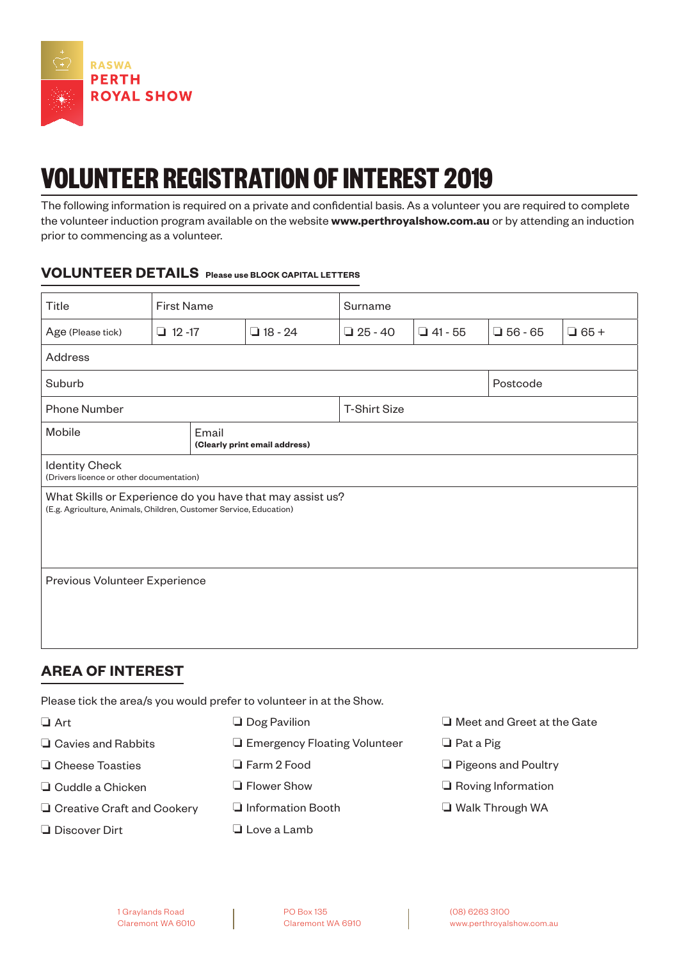

# **VOLUNTEER REGISTRATION OF INTEREST 2019**

The following information is required on a private and confidential basis. As a volunteer you are required to complete the volunteer induction program available on the website **www.perthroyalshow.com.au** or by attending an induction prior to commencing as a volunteer.

#### **VOLUNTEER DETAILS Please use BLOCK CAPITAL LETTERS**

| Title                                                                                                                           | <b>First Name</b> |  | Surname        |                     |                |                |             |  |  |
|---------------------------------------------------------------------------------------------------------------------------------|-------------------|--|----------------|---------------------|----------------|----------------|-------------|--|--|
| Age (Please tick)                                                                                                               | $\Box$ 12 -17     |  | $\Box$ 18 - 24 | $\Box$ 25 - 40      | $\Box$ 41 - 55 | $\Box$ 56 - 65 | $\Box$ 65 + |  |  |
| Address                                                                                                                         |                   |  |                |                     |                |                |             |  |  |
| Suburb                                                                                                                          |                   |  |                |                     | Postcode       |                |             |  |  |
| <b>Phone Number</b>                                                                                                             |                   |  |                | <b>T-Shirt Size</b> |                |                |             |  |  |
| Mobile<br>Email<br>(Clearly print email address)                                                                                |                   |  |                |                     |                |                |             |  |  |
| <b>Identity Check</b><br>(Drivers licence or other documentation)                                                               |                   |  |                |                     |                |                |             |  |  |
| What Skills or Experience do you have that may assist us?<br>(E.g. Agriculture, Animals, Children, Customer Service, Education) |                   |  |                |                     |                |                |             |  |  |
| Previous Volunteer Experience                                                                                                   |                   |  |                |                     |                |                |             |  |  |

# **AREA OF INTEREST**

Please tick the area/s you would prefer to volunteer in at the Show.

- ❏ Art ❏ Cavies and Rabbits ❏ Cheese Toasties ❏ Cuddle a Chicken ❏ Creative Craft and Cookery ❏ Discover Dirt ❏ Dog Pavilion ❏ Emergency Floating Volunteer ❏ Farm 2 Food ❏ Flower Show ❏ Information Booth ❏ Love a Lamb
- ❏ Meet and Greet at the Gate
- ❏ Pat a Pig
- ❏ Pigeons and Poultry
- ❏ Roving Information
- ❏ Walk Through WA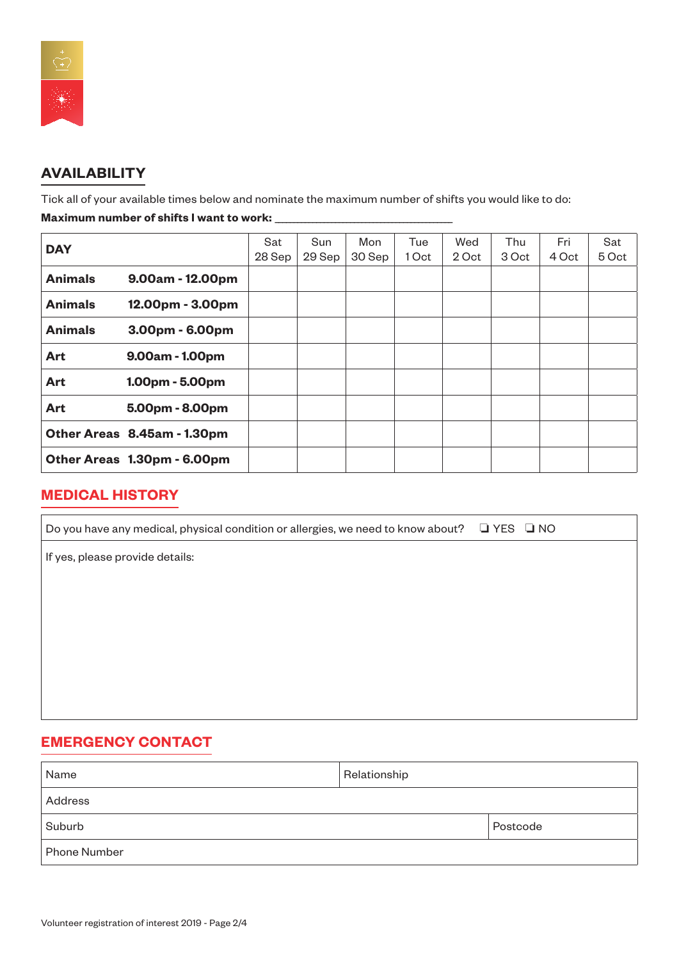

# **AVAILABILITY**

Tick all of your available times below and nominate the maximum number of shifts you would like to do:

#### **Maximum number of shifts I want to work:**

| <b>DAY</b>     |                             | Sat    | Sun    | Mon    | Tue   | Wed   | Thu   | Fri   | Sat   |
|----------------|-----------------------------|--------|--------|--------|-------|-------|-------|-------|-------|
|                |                             | 28 Sep | 29 Sep | 30 Sep | 1 Oct | 2 Oct | 3 Oct | 4 Oct | 5 Oct |
| <b>Animals</b> | $9.00am - 12.00pm$          |        |        |        |       |       |       |       |       |
| <b>Animals</b> | 12.00pm - 3.00pm            |        |        |        |       |       |       |       |       |
| <b>Animals</b> | 3.00pm - 6.00pm             |        |        |        |       |       |       |       |       |
| Art            | 9.00am - 1.00pm             |        |        |        |       |       |       |       |       |
| Art            | $1.00pm - 5.00pm$           |        |        |        |       |       |       |       |       |
| <b>Art</b>     | 5.00pm - 8.00pm             |        |        |        |       |       |       |       |       |
|                | Other Areas 8.45am - 1.30pm |        |        |        |       |       |       |       |       |
|                | Other Areas 1.30pm - 6.00pm |        |        |        |       |       |       |       |       |

#### **MEDICAL HISTORY**

| Do you have any medical, physical condition or allergies, we need to know about? $\Box$ YES $\Box$ NO |  |
|-------------------------------------------------------------------------------------------------------|--|
| If yes, please provide details:                                                                       |  |
|                                                                                                       |  |
|                                                                                                       |  |
|                                                                                                       |  |
|                                                                                                       |  |
|                                                                                                       |  |
|                                                                                                       |  |

# **EMERGENCY CONTACT**

| Name         | Relationship |          |
|--------------|--------------|----------|
| Address      |              |          |
| Suburb       |              | Postcode |
| Phone Number |              |          |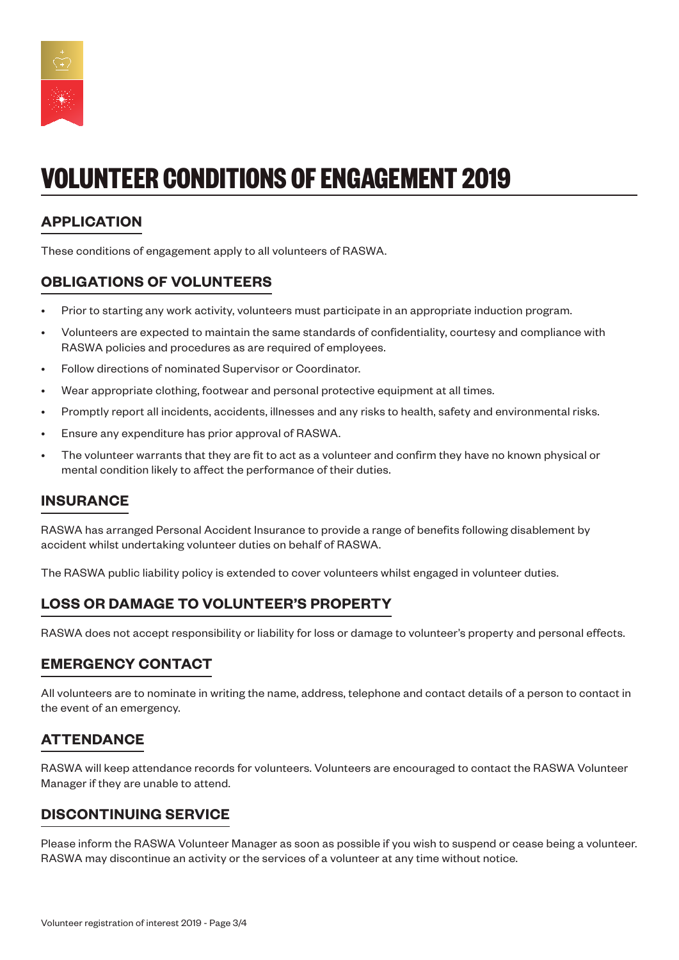

# **VOLUNTEER CONDITIONS OF ENGAGEMENT 2019**

# **APPLICATION**

These conditions of engagement apply to all volunteers of RASWA.

# **OBLIGATIONS OF VOLUNTEERS**

- Prior to starting any work activity, volunteers must participate in an appropriate induction program.
- Volunteers are expected to maintain the same standards of confidentiality, courtesy and compliance with RASWA policies and procedures as are required of employees.
- Follow directions of nominated Supervisor or Coordinator.
- Wear appropriate clothing, footwear and personal protective equipment at all times.
- Promptly report all incidents, accidents, illnesses and any risks to health, safety and environmental risks.
- Ensure any expenditure has prior approval of RASWA.
- The volunteer warrants that they are fit to act as a volunteer and confirm they have no known physical or mental condition likely to affect the performance of their duties.

## **INSURANCE**

RASWA has arranged Personal Accident Insurance to provide a range of benefits following disablement by accident whilst undertaking volunteer duties on behalf of RASWA.

The RASWA public liability policy is extended to cover volunteers whilst engaged in volunteer duties.

# **LOSS OR DAMAGE TO VOLUNTEER'S PROPERTY**

RASWA does not accept responsibility or liability for loss or damage to volunteer's property and personal effects.

## **EMERGENCY CONTACT**

All volunteers are to nominate in writing the name, address, telephone and contact details of a person to contact in the event of an emergency.

## **ATTENDANCE**

RASWA will keep attendance records for volunteers. Volunteers are encouraged to contact the RASWA Volunteer Manager if they are unable to attend.

## **DISCONTINUING SERVICE**

Please inform the RASWA Volunteer Manager as soon as possible if you wish to suspend or cease being a volunteer. RASWA may discontinue an activity or the services of a volunteer at any time without notice.